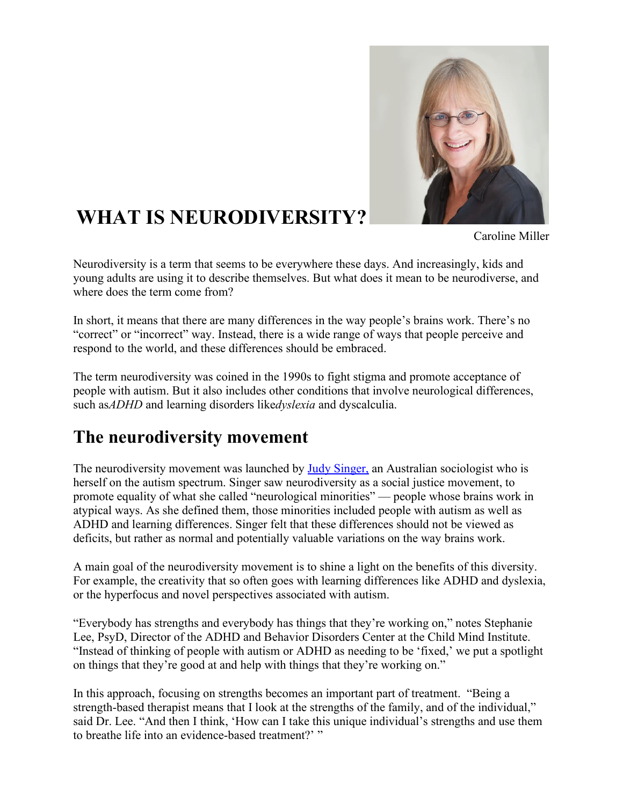

# **WHAT IS NEURODIVERSITY?**

Caroline Miller

Neurodiversity is a term that seems to be everywhere these days. And increasingly, kids and young adults are using it to describe themselves. But what does it mean to be neurodiverse, and where does the term come from?

In short, it means that there are many differences in the way people's brains work. There's no "correct" or "incorrect" way. Instead, there is a wide range of ways that people perceive and respond to the world, and these differences should be embraced.

The term neurodiversity was coined in the 1990s to fight stigma and promote acceptance of people with autism. But it also includes other conditions that involve neurological differences, such as*ADHD* and learning disorders like*dyslexia* and dyscalculia.

### **The neurodiversity movement**

The neurodiversity movement was launched by Judy Singer, an Australian sociologist who is herself on the autism spectrum. Singer saw neurodiversity as a social justice movement, to promote equality of what she called "neurological minorities" — people whose brains work in atypical ways. As she defined them, those minorities included people with autism as well as ADHD and learning differences. Singer felt that these differences should not be viewed as deficits, but rather as normal and potentially valuable variations on the way brains work.

A main goal of the neurodiversity movement is to shine a light on the benefits of this diversity. For example, the creativity that so often goes with learning differences like ADHD and dyslexia, or the hyperfocus and novel perspectives associated with autism.

"Everybody has strengths and everybody has things that they're working on," notes Stephanie Lee, PsyD, Director of the ADHD and Behavior Disorders Center at the Child Mind Institute. "Instead of thinking of people with autism or ADHD as needing to be 'fixed,' we put a spotlight on things that they're good at and help with things that they're working on."

In this approach, focusing on strengths becomes an important part of treatment. "Being a strength-based therapist means that I look at the strengths of the family, and of the individual," said Dr. Lee. "And then I think, 'How can I take this unique individual's strengths and use them to breathe life into an evidence-based treatment?' "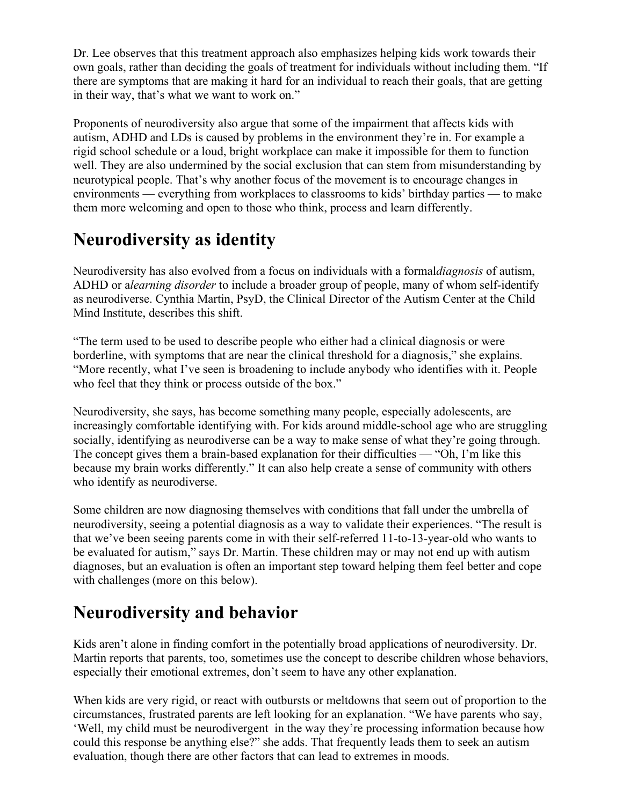Dr. Lee observes that this treatment approach also emphasizes helping kids work towards their own goals, rather than deciding the goals of treatment for individuals without including them. "If there are symptoms that are making it hard for an individual to reach their goals, that are getting in their way, that's what we want to work on."

Proponents of neurodiversity also argue that some of the impairment that affects kids with autism, ADHD and LDs is caused by problems in the environment they're in. For example a rigid school schedule or a loud, bright workplace can make it impossible for them to function well. They are also undermined by the social exclusion that can stem from misunderstanding by neurotypical people. That's why another focus of the movement is to encourage changes in environments — everything from workplaces to classrooms to kids' birthday parties — to make them more welcoming and open to those who think, process and learn differently.

### **Neurodiversity as identity**

Neurodiversity has also evolved from a focus on individuals with a formal*diagnosis* of autism, ADHD or a*learning disorder* to include a broader group of people, many of whom self-identify as neurodiverse. Cynthia Martin, PsyD, the Clinical Director of the Autism Center at the Child Mind Institute, describes this shift.

"The term used to be used to describe people who either had a clinical diagnosis or were borderline, with symptoms that are near the clinical threshold for a diagnosis," she explains. "More recently, what I've seen is broadening to include anybody who identifies with it. People who feel that they think or process outside of the box."

Neurodiversity, she says, has become something many people, especially adolescents, are increasingly comfortable identifying with. For kids around middle-school age who are struggling socially, identifying as neurodiverse can be a way to make sense of what they're going through. The concept gives them a brain-based explanation for their difficulties — "Oh, I'm like this because my brain works differently." It can also help create a sense of community with others who identify as neurodiverse.

Some children are now diagnosing themselves with conditions that fall under the umbrella of neurodiversity, seeing a potential diagnosis as a way to validate their experiences. "The result is that we've been seeing parents come in with their self-referred 11-to-13-year-old who wants to be evaluated for autism," says Dr. Martin. These children may or may not end up with autism diagnoses, but an evaluation is often an important step toward helping them feel better and cope with challenges (more on this below).

## **Neurodiversity and behavior**

Kids aren't alone in finding comfort in the potentially broad applications of neurodiversity. Dr. Martin reports that parents, too, sometimes use the concept to describe children whose behaviors, especially their emotional extremes, don't seem to have any other explanation.

When kids are very rigid, or react with outbursts or meltdowns that seem out of proportion to the circumstances, frustrated parents are left looking for an explanation. "We have parents who say, 'Well, my child must be neurodivergent in the way they're processing information because how could this response be anything else?" she adds. That frequently leads them to seek an autism evaluation, though there are other factors that can lead to extremes in moods.